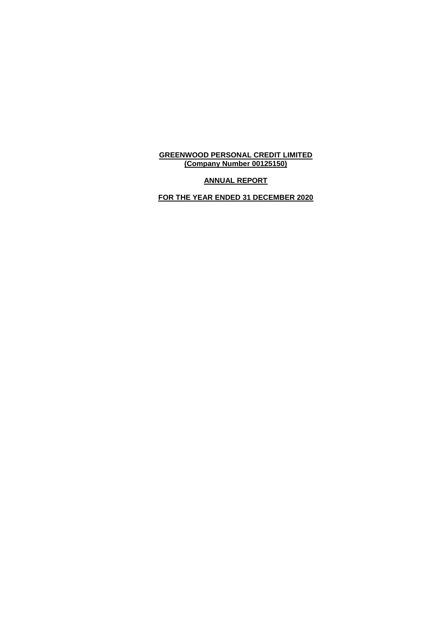# **ANNUAL REPORT**

**FOR THE YEAR ENDED 31 DECEMBER 2020**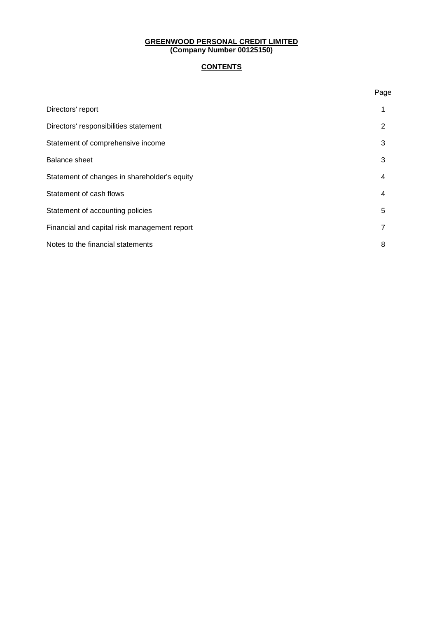# **CONTENTS**

Page

| Directors' report                            |   |
|----------------------------------------------|---|
| Directors' responsibilities statement        | 2 |
| Statement of comprehensive income            | 3 |
| <b>Balance sheet</b>                         | 3 |
| Statement of changes in shareholder's equity | 4 |
| Statement of cash flows                      | 4 |
| Statement of accounting policies             | 5 |
| Financial and capital risk management report | 7 |
| Notes to the financial statements            | 8 |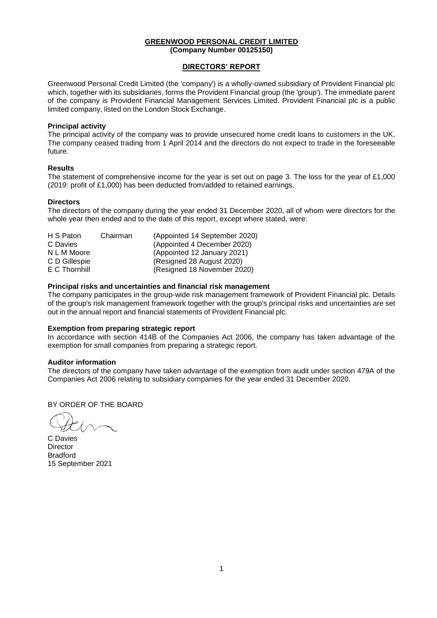#### **DIRECTORS' REPORT**

Greenwood Personal Credit Limited (the 'company') is a wholly-owned subsidiary of Provident Financial plc which, together with its subsidiaries, forms the Provident Financial group (the 'group'). The immediate parent of the company is Provident Financial Management Services Limited. Provident Financial plc is a public limited company, listed on the London Stock Exchange.

#### **Principal activity**

The principal activity of the company was to provide unsecured home credit loans to customers in the UK. The company ceased trading from 1 April 2014 and the directors do not expect to trade in the foreseeable future.

### **Results**

The statement of comprehensive income for the year is set out on page 3. The loss for the year of £1,000 (2019: profit of £1,000) has been deducted from/added to retained earnings.

### **Directors**

The directors of the company during the year ended 31 December 2020, all of whom were directors for the whole year then ended and to the date of this report, except where stated, were:

| H S Paton     | Chairman | (Appointed 14 September 2020) |
|---------------|----------|-------------------------------|
| C Davies      |          | (Appointed 4 December 2020)   |
| N L M Moore   |          | (Appointed 12 January 2021)   |
| C D Gillespie |          | (Resigned 28 August 2020)     |
| E C Thornhill |          | (Resigned 18 November 2020)   |

### **Principal risks and uncertainties and financial risk management**

The company participates in the group-wide risk management framework of Provident Financial plc. Details of the group's risk management framework together with the group's principal risks and uncertainties are set out in the annual report and financial statements of Provident Financial plc.

#### **Exemption from preparing strategic report**

In accordance with section 414B of the Companies Act 2006, the company has taken advantage of the exemption for small companies from preparing a strategic report.

#### **Auditor information**

The directors of the company have taken advantage of the exemption from audit under section 479A of the Companies Act 2006 relating to subsidiary companies for the year ended 31 December 2020.

BY ORDER OF THE BOARD

C Davies **Director Bradford** 15 September 2021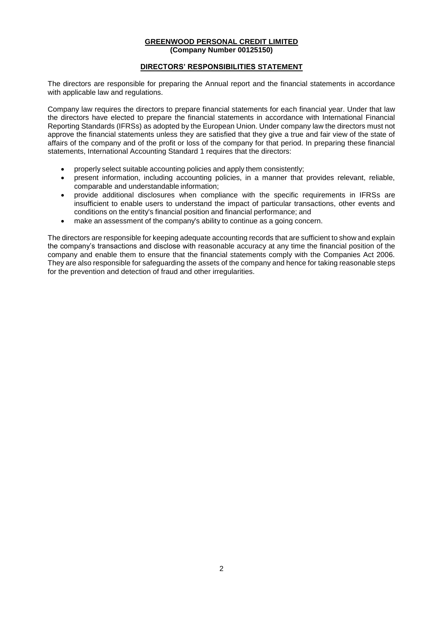### **DIRECTORS' RESPONSIBILITIES STATEMENT**

The directors are responsible for preparing the Annual report and the financial statements in accordance with applicable law and regulations.

Company law requires the directors to prepare financial statements for each financial year. Under that law the directors have elected to prepare the financial statements in accordance with International Financial Reporting Standards (IFRSs) as adopted by the European Union. Under company law the directors must not approve the financial statements unless they are satisfied that they give a true and fair view of the state of affairs of the company and of the profit or loss of the company for that period. In preparing these financial statements, International Accounting Standard 1 requires that the directors:

- properly select suitable accounting policies and apply them consistently;
- present information, including accounting policies, in a manner that provides relevant, reliable, comparable and understandable information;
- provide additional disclosures when compliance with the specific requirements in IFRSs are insufficient to enable users to understand the impact of particular transactions, other events and conditions on the entity's financial position and financial performance; and
- make an assessment of the company's ability to continue as a going concern.

The directors are responsible for keeping adequate accounting records that are sufficient to show and explain the company's transactions and disclose with reasonable accuracy at any time the financial position of the company and enable them to ensure that the financial statements comply with the Companies Act 2006. They are also responsible for safeguarding the assets of the company and hence for taking reasonable steps for the prevention and detection of fraud and other irregularities.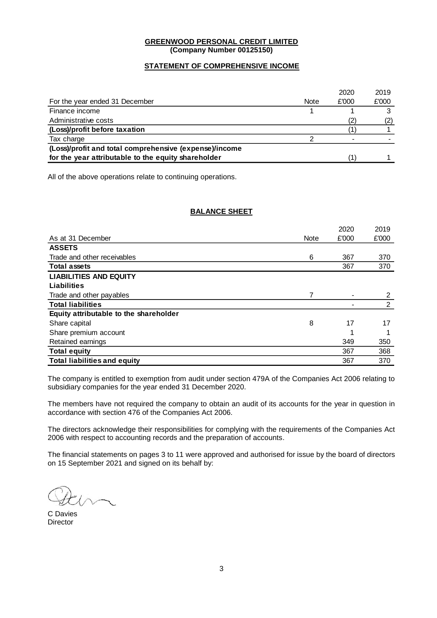### **STATEMENT OF COMPREHENSIVE INCOME**

|                                                        |      | 2020  | 2019  |
|--------------------------------------------------------|------|-------|-------|
| For the year ended 31 December                         | Note | £'000 | £'000 |
| Finance income                                         |      |       |       |
| Administrative costs                                   |      |       |       |
| (Loss)/profit before taxation                          |      |       |       |
| Tax charge                                             |      |       |       |
| (Loss)/profit and total comprehensive (expense)/income |      |       |       |
| for the year attributable to the equity shareholder    |      |       |       |
|                                                        |      |       |       |

All of the above operations relate to continuing operations.

### **BALANCE SHEET**

|                                        |             | 2020  | 2019  |
|----------------------------------------|-------------|-------|-------|
| As at 31 December                      | <b>Note</b> | £'000 | £'000 |
| <b>ASSETS</b>                          |             |       |       |
| Trade and other receivables            | 6           | 367   | 370   |
| <b>Total assets</b>                    |             | 367   | 370   |
| <b>LIABILITIES AND EQUITY</b>          |             |       |       |
| Liabilities                            |             |       |       |
| Trade and other payables               |             |       | 2     |
| <b>Total liabilities</b>               |             |       | 2     |
| Equity attributable to the shareholder |             |       |       |
| Share capital                          | 8           | 17    | 17    |
| Share premium account                  |             | 1     |       |
| Retained earnings                      |             | 349   | 350   |
| <b>Total equity</b>                    |             | 367   | 368   |
| <b>Total liabilities and equity</b>    |             | 367   | 370   |

The company is entitled to exemption from audit under section 479A of the Companies Act 2006 relating to subsidiary companies for the year ended 31 December 2020.

The members have not required the company to obtain an audit of its accounts for the year in question in accordance with section 476 of the Companies Act 2006.

The directors acknowledge their responsibilities for complying with the requirements of the Companies Act 2006 with respect to accounting records and the preparation of accounts.

The financial statements on pages 3 to 11 were approved and authorised for issue by the board of directors on 15 September 2021 and signed on its behalf by:

C Davies **Director**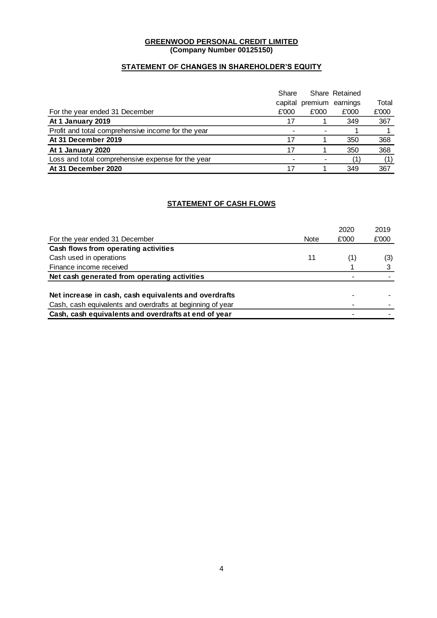## **STATEMENT OF CHANGES IN SHAREHOLDER'S EQUITY**

|                                                    | Share   |                  | Share Retained |       |
|----------------------------------------------------|---------|------------------|----------------|-------|
|                                                    | capital | premium earnings |                | Total |
| For the year ended 31 December                     | £'000   | £'000            | £'000          | £'000 |
| At 1 January 2019                                  | 17      |                  | 349            | 367   |
| Profit and total comprehensive income for the year |         |                  |                |       |
| At 31 December 2019                                | 17      |                  | 350            | 368   |
| At 1 January 2020                                  | 17      |                  | 350            | 368   |
| Loss and total comprehensive expense for the year  |         |                  | (1             | (1)   |
| At 31 December 2020                                | 17      |                  | 349            | 367   |

## **STATEMENT OF CASH FLOWS**

|                                                            |             | 2020  | 2019  |
|------------------------------------------------------------|-------------|-------|-------|
| For the year ended 31 December                             | <b>Note</b> | £'000 | £'000 |
| Cash flows from operating activities                       |             |       |       |
| Cash used in operations                                    | 11          |       | (3)   |
| Finance income received                                    |             |       |       |
| Net cash generated from operating activities               |             |       |       |
|                                                            |             |       |       |
| Net increase in cash, cash equivalents and overdrafts      |             |       |       |
| Cash, cash equivalents and overdrafts at beginning of year |             |       |       |
| Cash, cash equivalents and overdrafts at end of year       |             |       |       |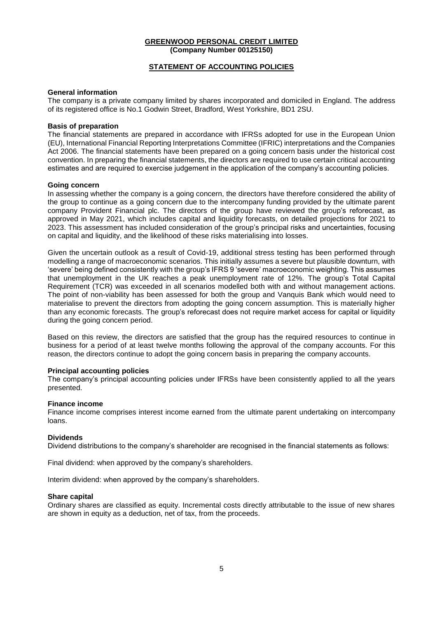### **STATEMENT OF ACCOUNTING POLICIES**

### **General information**

The company is a private company limited by shares incorporated and domiciled in England. The address of its registered office is No.1 Godwin Street, Bradford, West Yorkshire, BD1 2SU.

### **Basis of preparation**

The financial statements are prepared in accordance with IFRSs adopted for use in the European Union (EU), International Financial Reporting Interpretations Committee (IFRIC) interpretations and the Companies Act 2006. The financial statements have been prepared on a going concern basis under the historical cost convention. In preparing the financial statements, the directors are required to use certain critical accounting estimates and are required to exercise judgement in the application of the company's accounting policies.

### **Going concern**

In assessing whether the company is a going concern, the directors have therefore considered the ability of the group to continue as a going concern due to the intercompany funding provided by the ultimate parent company Provident Financial plc. The directors of the group have reviewed the group's reforecast, as approved in May 2021, which includes capital and liquidity forecasts, on detailed projections for 2021 to 2023. This assessment has included consideration of the group's principal risks and uncertainties, focusing on capital and liquidity, and the likelihood of these risks materialising into losses.

Given the uncertain outlook as a result of Covid-19, additional stress testing has been performed through modelling a range of macroeconomic scenarios. This initially assumes a severe but plausible downturn, with 'severe' being defined consistently with the group's IFRS 9 'severe' macroeconomic weighting. This assumes that unemployment in the UK reaches a peak unemployment rate of 12%. The group's Total Capital Requirement (TCR) was exceeded in all scenarios modelled both with and without management actions. The point of non-viability has been assessed for both the group and Vanquis Bank which would need to materialise to prevent the directors from adopting the going concern assumption. This is materially higher than any economic forecasts. The group's reforecast does not require market access for capital or liquidity during the going concern period.

Based on this review, the directors are satisfied that the group has the required resources to continue in business for a period of at least twelve months following the approval of the company accounts. For this reason, the directors continue to adopt the going concern basis in preparing the company accounts.

#### **Principal accounting policies**

The company's principal accounting policies under IFRSs have been consistently applied to all the years presented.

#### **Finance income**

Finance income comprises interest income earned from the ultimate parent undertaking on intercompany loans.

### **Dividends**

Dividend distributions to the company's shareholder are recognised in the financial statements as follows:

Final dividend: when approved by the company's shareholders.

Interim dividend: when approved by the company's shareholders.

#### **Share capital**

Ordinary shares are classified as equity. Incremental costs directly attributable to the issue of new shares are shown in equity as a deduction, net of tax, from the proceeds.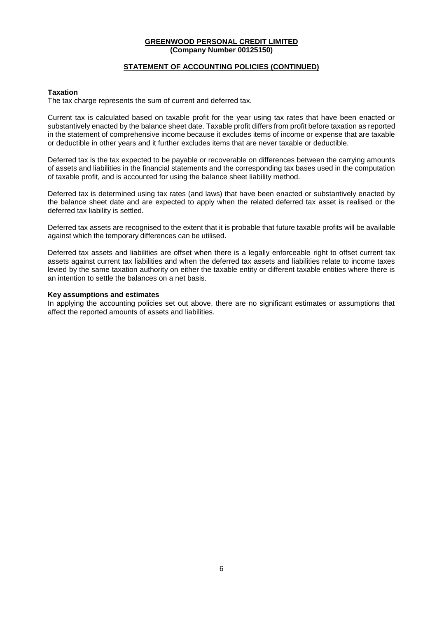### **STATEMENT OF ACCOUNTING POLICIES (CONTINUED)**

#### **Taxation**

The tax charge represents the sum of current and deferred tax.

Current tax is calculated based on taxable profit for the year using tax rates that have been enacted or substantively enacted by the balance sheet date. Taxable profit differs from profit before taxation as reported in the statement of comprehensive income because it excludes items of income or expense that are taxable or deductible in other years and it further excludes items that are never taxable or deductible.

Deferred tax is the tax expected to be payable or recoverable on differences between the carrying amounts of assets and liabilities in the financial statements and the corresponding tax bases used in the computation of taxable profit, and is accounted for using the balance sheet liability method.

Deferred tax is determined using tax rates (and laws) that have been enacted or substantively enacted by the balance sheet date and are expected to apply when the related deferred tax asset is realised or the deferred tax liability is settled.

Deferred tax assets are recognised to the extent that it is probable that future taxable profits will be available against which the temporary differences can be utilised.

Deferred tax assets and liabilities are offset when there is a legally enforceable right to offset current tax assets against current tax liabilities and when the deferred tax assets and liabilities relate to income taxes levied by the same taxation authority on either the taxable entity or different taxable entities where there is an intention to settle the balances on a net basis.

#### **Key assumptions and estimates**

In applying the accounting policies set out above, there are no significant estimates or assumptions that affect the reported amounts of assets and liabilities.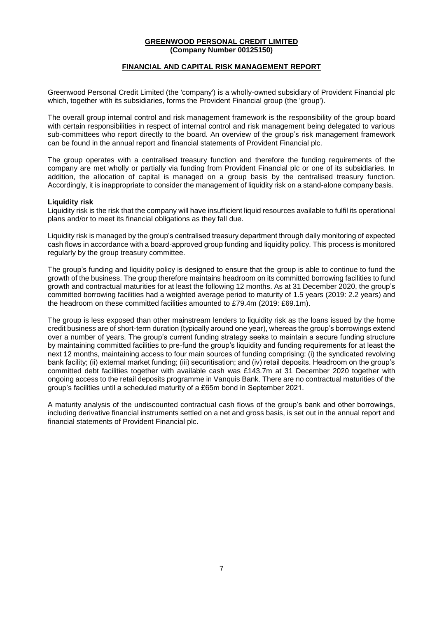### **FINANCIAL AND CAPITAL RISK MANAGEMENT REPORT**

Greenwood Personal Credit Limited (the 'company') is a wholly-owned subsidiary of Provident Financial plc which, together with its subsidiaries, forms the Provident Financial group (the 'group').

The overall group internal control and risk management framework is the responsibility of the group board with certain responsibilities in respect of internal control and risk management being delegated to various sub-committees who report directly to the board. An overview of the group's risk management framework can be found in the annual report and financial statements of Provident Financial plc.

The group operates with a centralised treasury function and therefore the funding requirements of the company are met wholly or partially via funding from Provident Financial plc or one of its subsidiaries. In addition, the allocation of capital is managed on a group basis by the centralised treasury function. Accordingly, it is inappropriate to consider the management of liquidity risk on a stand-alone company basis.

#### **Liquidity risk**

Liquidity risk is the risk that the company will have insufficient liquid resources available to fulfil its operational plans and/or to meet its financial obligations as they fall due.

Liquidity risk is managed by the group's centralised treasury department through daily monitoring of expected cash flows in accordance with a board-approved group funding and liquidity policy. This process is monitored regularly by the group treasury committee.

The group's funding and liquidity policy is designed to ensure that the group is able to continue to fund the growth of the business. The group therefore maintains headroom on its committed borrowing facilities to fund growth and contractual maturities for at least the following 12 months. As at 31 December 2020, the group's committed borrowing facilities had a weighted average period to maturity of 1.5 years (2019: 2.2 years) and the headroom on these committed facilities amounted to £79.4m (2019: £69.1m).

The group is less exposed than other mainstream lenders to liquidity risk as the loans issued by the home credit business are of short-term duration (typically around one year), whereas the group's borrowings extend over a number of years. The group's current funding strategy seeks to maintain a secure funding structure by maintaining committed facilities to pre-fund the group's liquidity and funding requirements for at least the next 12 months, maintaining access to four main sources of funding comprising: (i) the syndicated revolving bank facility; (ii) external market funding; (iii) securitisation; and (iv) retail deposits. Headroom on the group's committed debt facilities together with available cash was £143.7m at 31 December 2020 together with ongoing access to the retail deposits programme in Vanquis Bank. There are no contractual maturities of the group's facilities until a scheduled maturity of a £65m bond in September 2021.

A maturity analysis of the undiscounted contractual cash flows of the group's bank and other borrowings, including derivative financial instruments settled on a net and gross basis, is set out in the annual report and financial statements of Provident Financial plc.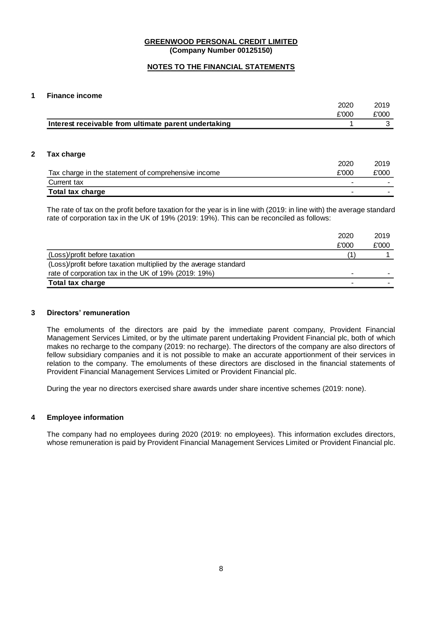### **NOTES TO THE FINANCIAL STATEMENTS**

### **1 Finance income**

|                                                      | 2020  | 2019          |
|------------------------------------------------------|-------|---------------|
|                                                      | £'000 | £'000         |
| Interest receivable from ultimate parent undertaking |       | 3             |
|                                                      |       |               |
| Tax charge                                           |       |               |
|                                                      |       |               |
|                                                      | 2020  |               |
| Tax charge in the statement of comprehensive income  | £'000 |               |
| Current tax                                          |       | 2019<br>£'000 |

The rate of tax on the profit before taxation for the year is in line with (2019: in line with) the average standard rate of corporation tax in the UK of 19% (2019: 19%). This can be reconciled as follows:

|                                                                  | 2020  | 2019  |
|------------------------------------------------------------------|-------|-------|
|                                                                  | £'000 | £'000 |
| (Loss)/profit before taxation                                    |       |       |
| (Loss)/profit before taxation multiplied by the average standard |       |       |
| rate of corporation tax in the UK of 19% (2019: 19%)             |       |       |
| Total tax charge                                                 |       |       |

#### **3 Directors' remuneration**

The emoluments of the directors are paid by the immediate parent company, Provident Financial Management Services Limited, or by the ultimate parent undertaking Provident Financial plc, both of which makes no recharge to the company (2019: no recharge). The directors of the company are also directors of fellow subsidiary companies and it is not possible to make an accurate apportionment of their services in relation to the company. The emoluments of these directors are disclosed in the financial statements of Provident Financial Management Services Limited or Provident Financial plc.

During the year no directors exercised share awards under share incentive schemes (2019: none).

#### **4 Employee information**

The company had no employees during 2020 (2019: no employees). This information excludes directors, whose remuneration is paid by Provident Financial Management Services Limited or Provident Financial plc.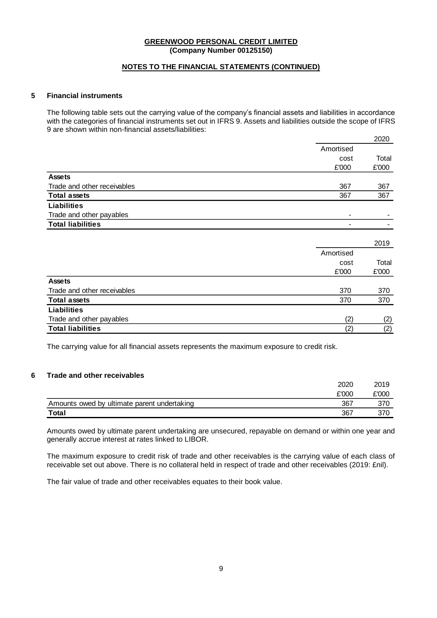### **NOTES TO THE FINANCIAL STATEMENTS (CONTINUED)**

### **5 Financial instruments**

The following table sets out the carrying value of the company's financial assets and liabilities in accordance with the categories of financial instruments set out in IFRS 9. Assets and liabilities outside the scope of IFRS 9 are shown within non-financial assets/liabilities:

|                             |           | 2020  |
|-----------------------------|-----------|-------|
|                             | Amortised |       |
|                             | cost      | Total |
|                             | £'000     | £'000 |
| <b>Assets</b>               |           |       |
| Trade and other receivables | 367       | 367   |
| <b>Total assets</b>         | 367       | 367   |
| <b>Liabilities</b>          |           |       |
| Trade and other payables    |           |       |
| <b>Total liabilities</b>    |           |       |
|                             |           |       |
|                             |           | 2019  |
|                             | Amortised |       |
|                             | cost      | Total |
|                             | £'000     | £'000 |
| <b>Assets</b>               |           |       |
| Trade and other receivables | 370       | 370   |
| <b>Total assets</b>         | 370       | 370   |
| <b>Liabilities</b>          |           |       |
| Trade and other payables    | (2)       | (2)   |
| <b>Total liabilities</b>    | (2)       | (2)   |

The carrying value for all financial assets represents the maximum exposure to credit risk.

### **6 Trade and other receivables**

|                                             | 2020  | 2019  |
|---------------------------------------------|-------|-------|
|                                             | £'000 | £'000 |
| Amounts owed by ultimate parent undertaking | 367   |       |
| Total                                       | 367   | 370   |

Amounts owed by ultimate parent undertaking are unsecured, repayable on demand or within one year and generally accrue interest at rates linked to LIBOR.

The maximum exposure to credit risk of trade and other receivables is the carrying value of each class of receivable set out above. There is no collateral held in respect of trade and other receivables (2019: £nil).

The fair value of trade and other receivables equates to their book value.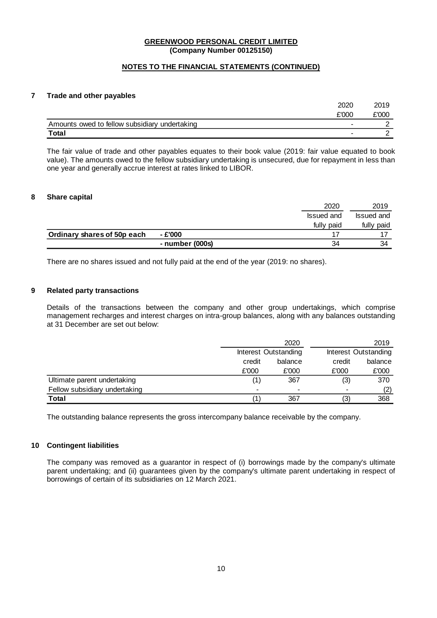### **NOTES TO THE FINANCIAL STATEMENTS (CONTINUED)**

### **7 Trade and other payables**

| <b>Total</b>                                  |       |        |
|-----------------------------------------------|-------|--------|
| Amounts owed to fellow subsidiary undertaking |       |        |
|                                               | £'000 | £'000  |
|                                               | 2020  | ה ו הה |

The fair value of trade and other payables equates to their book value (2019: fair value equated to book value). The amounts owed to the fellow subsidiary undertaking is unsecured, due for repayment in less than one year and generally accrue interest at rates linked to LIBOR.

#### **8 Share capital**

|                             |                 | 2020       | 2019       |
|-----------------------------|-----------------|------------|------------|
|                             |                 | Issued and | Issued and |
|                             |                 | fully paid | fully paid |
| Ordinary shares of 50p each | - £'000         |            |            |
|                             | - number (000s) | 34         | 34         |

There are no shares issued and not fully paid at the end of the year (2019: no shares).

### **9 Related party transactions**

Details of the transactions between the company and other group undertakings, which comprise management recharges and interest charges on intra-group balances, along with any balances outstanding at 31 December are set out below:

|                               |                          | 2020                     |                          | 2019                 |  |
|-------------------------------|--------------------------|--------------------------|--------------------------|----------------------|--|
|                               |                          | Interest Outstanding     |                          | Interest Outstanding |  |
|                               | credit                   | balance                  | credit                   | balance              |  |
|                               | £'000                    | £'000                    | £'000                    | £'000                |  |
| Ultimate parent undertaking   | 1)                       | 367                      | (3)                      | 370                  |  |
| Fellow subsidiary undertaking | $\overline{\phantom{a}}$ | $\overline{\phantom{a}}$ | $\overline{\phantom{a}}$ | (2)                  |  |
| Total                         |                          | 367                      | (3)                      | 368                  |  |

The outstanding balance represents the gross intercompany balance receivable by the company.

#### **10 Contingent liabilities**

The company was removed as a guarantor in respect of (i) borrowings made by the company's ultimate parent undertaking; and (ii) guarantees given by the company's ultimate parent undertaking in respect of borrowings of certain of its subsidiaries on 12 March 2021.